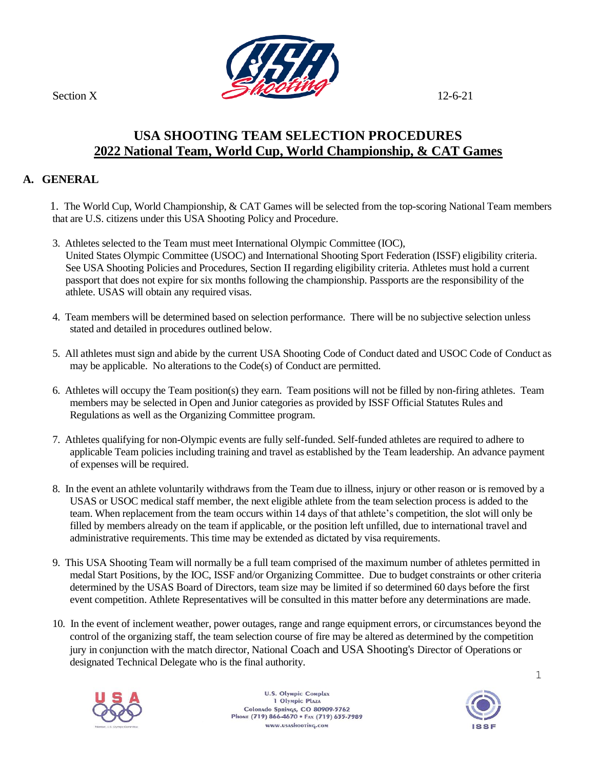

## **USA SHOOTING TEAM SELECTION PROCEDURES 2022 National Team, World Cup, World Championship, & CAT Games**

#### **A. GENERAL**

 1. The World Cup, World Championship, & CAT Games will be selected from the top-scoring National Team members that are U.S. citizens under this USA Shooting Policy and Procedure.

- 3. Athletes selected to the Team must meet International Olympic Committee (IOC), United States Olympic Committee (USOC) and International Shooting Sport Federation (ISSF) eligibility criteria. See USA Shooting Policies and Procedures, Section II regarding eligibility criteria. Athletes must hold a current passport that does not expire for six months following the championship. Passports are the responsibility of the athlete. USAS will obtain any required visas.
- 4. Team members will be determined based on selection performance. There will be no subjective selection unless stated and detailed in procedures outlined below.
- 5. All athletes must sign and abide by the current USA Shooting Code of Conduct dated and USOC Code of Conduct as may be applicable. No alterations to the Code(s) of Conduct are permitted.
- 6. Athletes will occupy the Team position(s) they earn. Team positions will not be filled by non-firing athletes. Team members may be selected in Open and Junior categories as provided by ISSF Official Statutes Rules and Regulations as well as the Organizing Committee program.
- 7. Athletes qualifying for non-Olympic events are fully self-funded. Self-funded athletes are required to adhere to applicable Team policies including training and travel as established by the Team leadership. An advance payment of expenses will be required.
- 8. In the event an athlete voluntarily withdraws from the Team due to illness, injury or other reason or is removed by a USAS or USOC medical staff member, the next eligible athlete from the team selection process is added to the team. When replacement from the team occurs within 14 days of that athlete's competition, the slot will only be filled by members already on the team if applicable, or the position left unfilled, due to international travel and administrative requirements. This time may be extended as dictated by visa requirements.
- 9. This USA Shooting Team will normally be a full team comprised of the maximum number of athletes permitted in medal Start Positions, by the IOC, ISSF and/or Organizing Committee. Due to budget constraints or other criteria determined by the USAS Board of Directors, team size may be limited if so determined 60 days before the first event competition. Athlete Representatives will be consulted in this matter before any determinations are made.
- 10. In the event of inclement weather, power outages, range and range equipment errors, or circumstances beyond the control of the organizing staff, the team selection course of fire may be altered as determined by the competition jury in conjunction with the match director, National Coach and USA Shooting's Director of Operations or designated Technical Delegate who is the final authority.



U.S. Olympic Complex 1 Olympic Plaza Colorado Springs, CO 80909-5762<br>Phone (719) 866-4670 • Fax (719) 635-7989 www.usashooting.com



1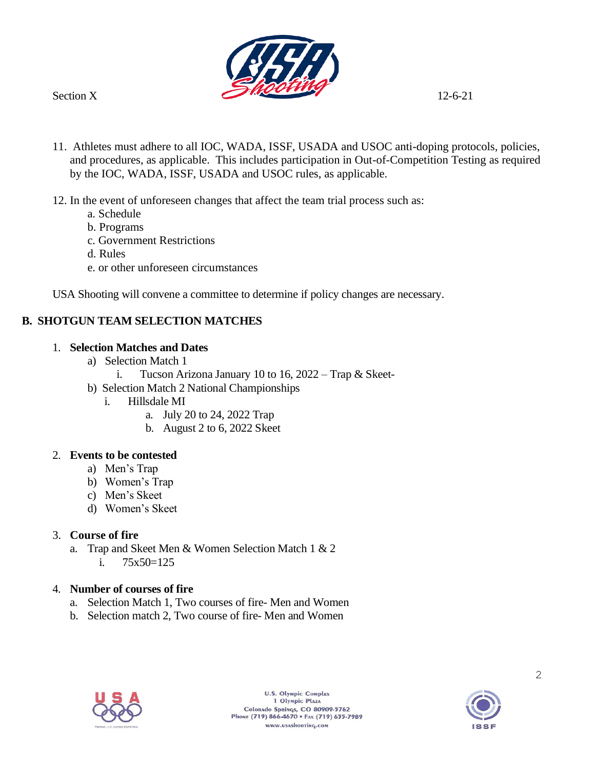

- 11. Athletes must adhere to all IOC, WADA, ISSF, USADA and USOC anti-doping protocols, policies, and procedures, as applicable. This includes participation in Out-of-Competition Testing as required by the IOC, WADA, ISSF, USADA and USOC rules, as applicable.
- 12. In the event of unforeseen changes that affect the team trial process such as:
	- a. Schedule
	- b. Programs
	- c. Government Restrictions
	- d. Rules
	- e. or other unforeseen circumstances

USA Shooting will convene a committee to determine if policy changes are necessary.

## **B. SHOTGUN TEAM SELECTION MATCHES**

#### 1. **Selection Matches and Dates**

- a) Selection Match 1
	- i. Tucson Arizona January 10 to 16, 2022 Trap & Skeet-
- b) Selection Match 2 National Championships
	- i. Hillsdale MI
		- a. July 20 to 24, 2022 Trap
		- b. August 2 to 6, 2022 Skeet

### 2. **Events to be contested**

- a) Men's Trap
- b) Women's Trap
- c) Men's Skeet
- d) Women's Skeet

### 3. **Course of fire**

a. Trap and Skeet Men & Women Selection Match 1 & 2 i.  $75x50=125$ 

#### 4. **Number of courses of fire**

- a. Selection Match 1, Two courses of fire- Men and Women
- b. Selection match 2, Two course of fire- Men and Women



U.S. Olympic Complex 1 Olympic Plaza Colorado Springs, CO 80909-5762<br>Phone (719) 866-4670 • Fax (719) 635-7989 www.usashooting.com

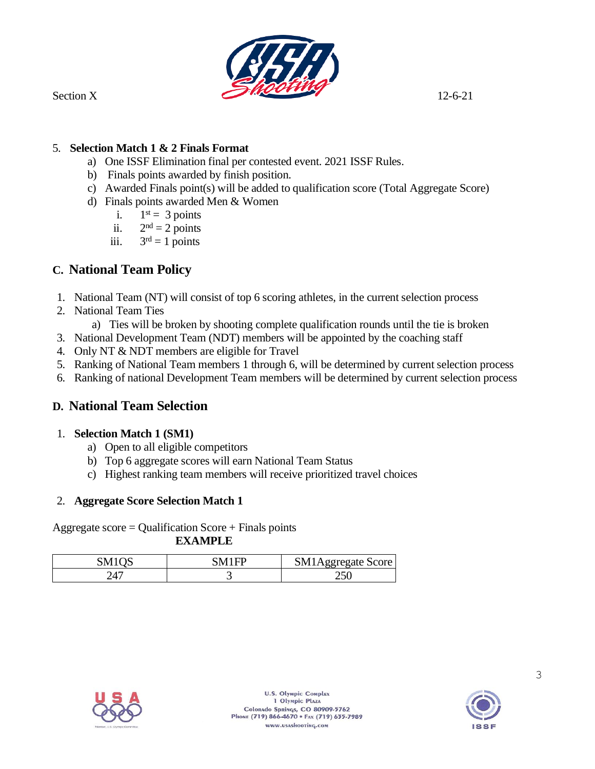

#### 5. **Selection Match 1 & 2 Finals Format**

- a) One ISSF Elimination final per contested event. 2021 ISSF Rules.
- b) Finals points awarded by finish position.
- c) Awarded Finals point(s) will be added to qualification score (Total Aggregate Score)
- d) Finals points awarded Men & Women
	- i.  $1<sup>st</sup> = 3 points$
	- $ii.$  $2<sup>nd</sup> = 2$  points
	- iii. 3  $3<sup>rd</sup> = 1$  points

# **C. National Team Policy**

- 1. National Team (NT) will consist of top 6 scoring athletes, in the current selection process
- 2. National Team Ties
	- a) Ties will be broken by shooting complete qualification rounds until the tie is broken
- 3. National Development Team (NDT) members will be appointed by the coaching staff
- 4. Only NT & NDT members are eligible for Travel
- 5. Ranking of National Team members 1 through 6, will be determined by current selection process
- 6. Ranking of national Development Team members will be determined by current selection process

# **D. National Team Selection**

#### 1. **Selection Match 1 (SM1)**

- a) Open to all eligible competitors
- b) Top 6 aggregate scores will earn National Team Status
- c) Highest ranking team members will receive prioritized travel choices

#### 2. **Aggregate Score Selection Match 1**

Aggregate score = Qualification Score + Finals points

**EXAMPLE** 

| SM1QS | 7M1ED | SM <sup>1</sup><br>Aggregate Score |
|-------|-------|------------------------------------|
| 247   | ີ     | ารถ                                |



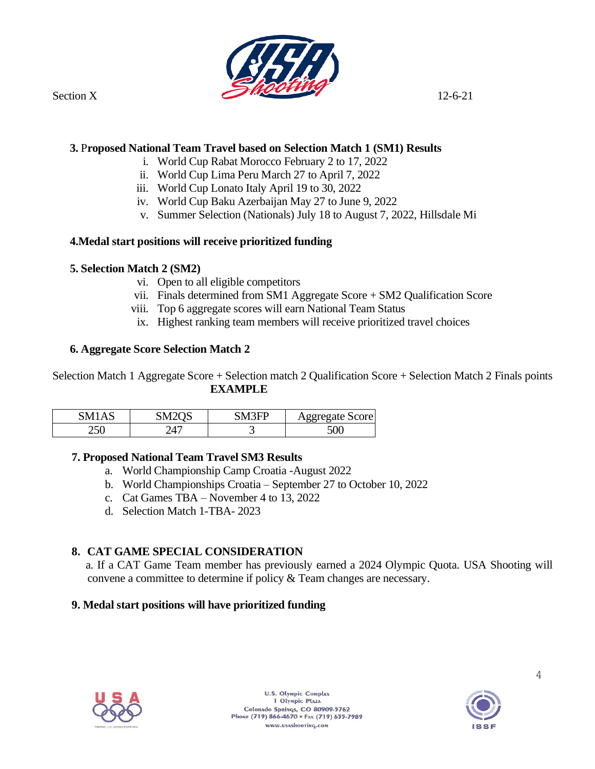

#### **3.** P**roposed National Team Travel based on Selection Match 1 (SM1) Results**

- i. World Cup Rabat Morocco February 2 to 17, 2022
- ii. World Cup Lima Peru March 27 to April 7, 2022
- iii. World Cup Lonato Italy April 19 to 30, 2022
- iv. World Cup Baku Azerbaijan May 27 to June 9, 2022
- v. Summer Selection (Nationals) July 18 to August 7, 2022, Hillsdale Mi

#### **4.Medal start positions will receive prioritized funding**

#### **5. Selection Match 2 (SM2)**

- vi. Open to all eligible competitors
- vii. Finals determined from SM1 Aggregate Score + SM2 Qualification Score
- viii. Top 6 aggregate scores will earn National Team Status
- ix. Highest ranking team members will receive prioritized travel choices

#### **6. Aggregate Score Selection Match 2**

Selection Match 1 Aggregate Score + Selection match 2 Qualification Score + Selection Match 2 Finals points **EXAMPLE** 

| M<br>Δ | . iV <sup>ir</sup> | $\sim$ $\Omega$ $\Gamma$ | ggregate Score |
|--------|--------------------|--------------------------|----------------|
| 250    | $\sqrt{2}$<br>. .  | ັ                        | JUV.           |

#### **7. Proposed National Team Travel SM3 Results**

- a. World Championship Camp Croatia -August 2022
- b. World Championships Croatia September 27 to October 10, 2022
- c. Cat Games TBA November 4 to 13, 2022
- d. Selection Match 1-TBA- 2023

### **8. CAT GAME SPECIAL CONSIDERATION**

 a. If a CAT Game Team member has previously earned a 2024 Olympic Quota. USA Shooting will convene a committee to determine if policy & Team changes are necessary.

#### **9. Medal start positions will have prioritized funding**